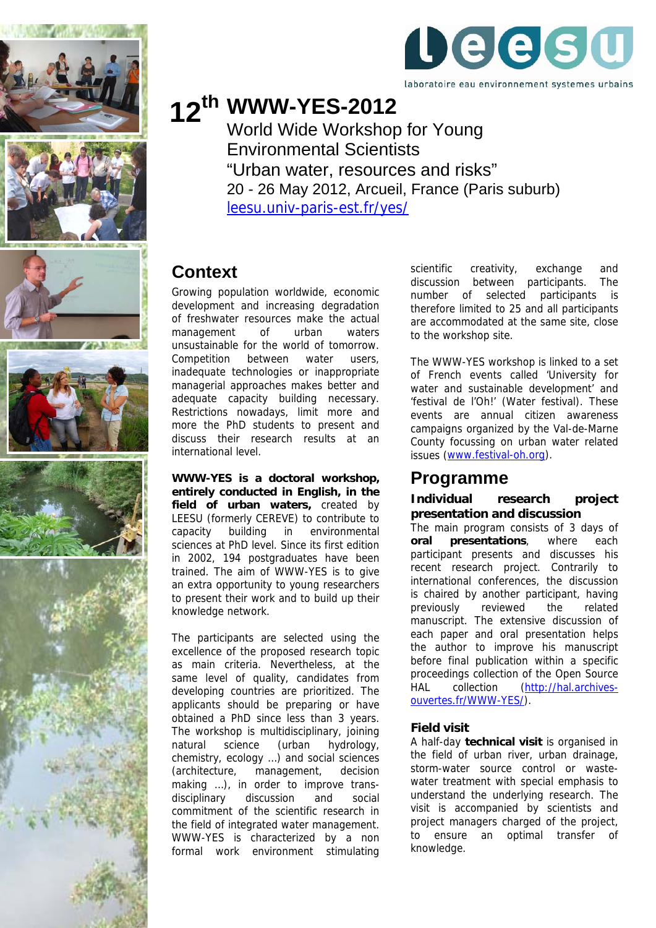













# **WWW-YES-2012 12th**

World Wide Workshop for Young Environmental Scientists "Urban water, resources and risks" 20 - 26 May 2012, Arcueil, France (Paris suburb) [leesu.univ-paris-est.fr/yes/](http://leesu.univ-paris-est.fr/yes/) 

# **Context**

Growing population worldwide, economic development and increasing degradation of freshwater resources make the actual management of urban waters unsustainable for the world of tomorrow. Competition between water users, inadequate technologies or inappropriate managerial approaches makes better and adequate capacity building necessary. Restrictions nowadays, limit more and more the PhD students to present and discuss their research results at an international level.

**WWW-YES is a doctoral workshop, entirely conducted in English, in the field of urban waters,** created by LEESU (formerly CEREVE) to contribute to capacity building in environmental sciences at PhD level. Since its first edition in 2002, 194 postgraduates have been trained. The aim of WWW-YES is to give an extra opportunity to young researchers to present their work and to build up their knowledge network.

The participants are selected using the excellence of the proposed research topic as main criteria. Nevertheless, at the same level of quality, candidates from developing countries are prioritized. The applicants should be preparing or have obtained a PhD since less than 3 years. The workshop is multidisciplinary, joining natural science (urban hydrology, chemistry, ecology …) and social sciences (architecture, management, decision making ...), in order to improve transdisciplinary discussion and social commitment of the scientific research in the field of integrated water management. WWW-YES is characterized by a non formal work environment stimulating scientific creativity, exchange and discussion between participants. The number of selected participants is therefore limited to 25 and all participants are accommodated at the same site, close to the workshop site.

The WWW-YES workshop is linked to a set of French events called 'University for water and sustainable development' and 'festival de l'Oh!' (Water festival). These events are annual citizen awareness campaigns organized by the Val-de-Marne County focussing on urban water related issues [\(www.festival-oh.org\)](http://www.festival-oh.org/).

### **Programme**

#### **Individual research project presentation and discussion**

The main program consists of 3 days of **oral presentations**, where each participant presents and discusses his recent research project. Contrarily to international conferences, the discussion is chaired by another participant, having previously reviewed the related manuscript. The extensive discussion of each paper and oral presentation helps the author to improve his manuscript before final publication within a specific proceedings collection of the Open Source HAL collection ([http://hal.archives](http://hal.archives-ouvertes.fr/WWW-YES/)[ouvertes.fr/WWW-YES/\)](http://hal.archives-ouvertes.fr/WWW-YES/).

#### **Field visit**

A half-day **technical visit** is organised in the field of urban river, urban drainage, storm-water source control or wastewater treatment with special emphasis to understand the underlying research. The visit is accompanied by scientists and project managers charged of the project, to ensure an optimal transfer of knowledge.